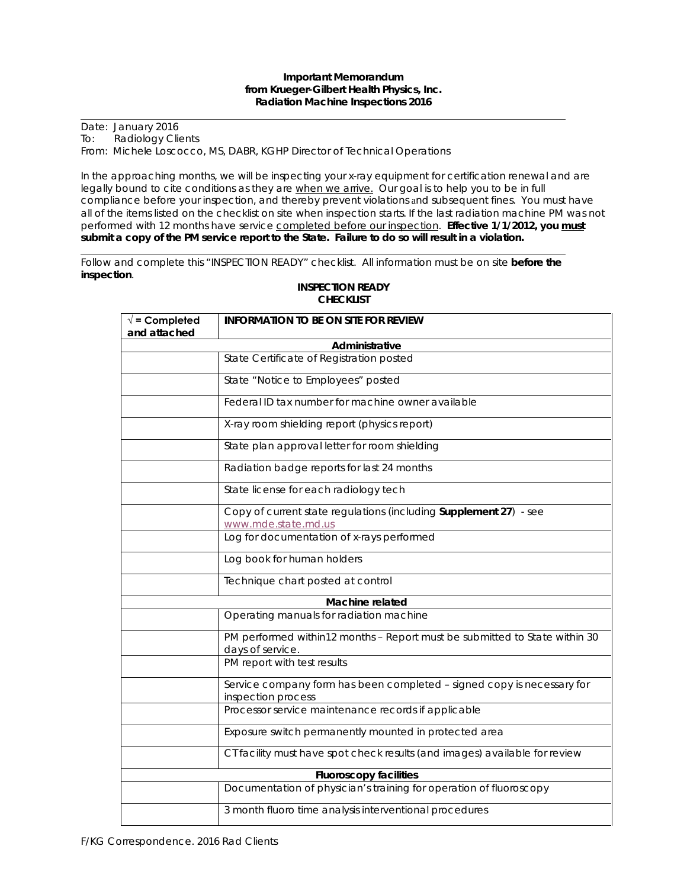## **Important Memorandum from Krueger-Gilbert Health Physics, Inc. Radiation Machine Inspections 2016**

Date: January 2016 To: Radiology Clients From: Michele Loscocco, MS, DABR, KGHP Director of Technical Operations

In the approaching months, we will be inspecting your x-ray equipment for certification renewal and are legally bound to cite conditions as they are when we arrive. Our goal is to help you to be in full compliance before your inspection, and thereby prevent violations and subsequent fines. You must have all of the items listed on the checklist on site when inspection starts. If the last radiation machine PM was not performed with 12 months have service completed before our inspection. **Effective 1/1/2012, you must submit a copy of the PM service report to the State. Failure to do so will result in a violation.**

Follow and complete this "INSPECTION READY" checklist. All information must be on site **before the inspection**.

| $\sqrt{}$ = Completed         | <b>INFORMATION TO BE ON SITE FOR REVIEW</b>                                                    |  |  |  |
|-------------------------------|------------------------------------------------------------------------------------------------|--|--|--|
| and attached                  |                                                                                                |  |  |  |
| Administrative                |                                                                                                |  |  |  |
|                               | State Certificate of Registration posted                                                       |  |  |  |
|                               | State "Notice to Employees" posted                                                             |  |  |  |
|                               | Federal ID tax number for machine owner available                                              |  |  |  |
|                               | X-ray room shielding report (physics report)                                                   |  |  |  |
|                               | State plan approval letter for room shielding                                                  |  |  |  |
|                               | Radiation badge reports for last 24 months                                                     |  |  |  |
|                               | State license for each radiology tech                                                          |  |  |  |
|                               | Copy of current state regulations (including Supplement 27) - see<br>www.mde.state.md.us       |  |  |  |
|                               | Log for documentation of x-rays performed                                                      |  |  |  |
|                               | Log book for human holders                                                                     |  |  |  |
|                               | Technique chart posted at control                                                              |  |  |  |
| Machine related               |                                                                                                |  |  |  |
|                               | Operating manuals for radiation machine                                                        |  |  |  |
|                               | PM performed within12 months - Report must be submitted to State within 30<br>days of service. |  |  |  |
|                               | PM report with test results                                                                    |  |  |  |
|                               | Service company form has been completed - signed copy is necessary for<br>inspection process   |  |  |  |
|                               | Processor service maintenance records if applicable                                            |  |  |  |
|                               | Exposure switch permanently mounted in protected area                                          |  |  |  |
|                               | CT facility must have spot check results (and images) available for review                     |  |  |  |
| <b>Fluoroscopy facilities</b> |                                                                                                |  |  |  |
|                               | Documentation of physician's training for operation of fluoroscopy                             |  |  |  |
|                               | 3 month fluoro time analysis interventional procedures                                         |  |  |  |

## **INSPECTION READY CHECKLIST**